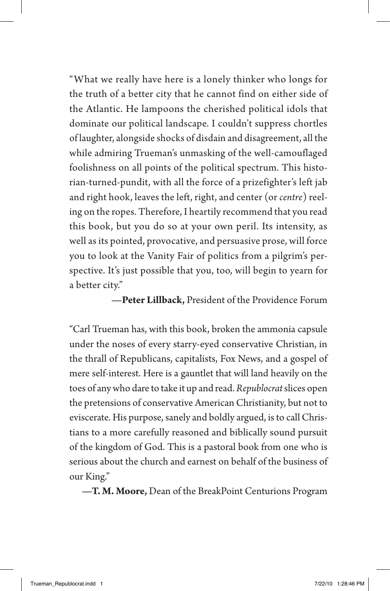"What we really have here is a lonely thinker who longs for the truth of a better city that he cannot find on either side of the Atlantic. He lampoons the cherished political idols that dominate our political landscape. I couldn't suppress chortles of laughter, alongside shocks of disdain and disagreement, all the while admiring Trueman's unmasking of the well-camouflaged foolishness on all points of the political spectrum. This historian-turned-pundit, with all the force of a prizefighter's left jab and right hook, leaves the left, right, and center (or *centre*) reeling on the ropes. Therefore, I heartily recommend that you read this book, but you do so at your own peril. Its intensity, as well as its pointed, provocative, and persuasive prose, will force you to look at the Vanity Fair of politics from a pilgrim's perspective. It's just possible that you, too, will begin to yearn for a better city."

#### **—Peter Lillback,** President of the Providence Forum

"Carl Trueman has, with this book, broken the ammonia capsule under the noses of every starry-eyed conservative Christian, in the thrall of Republicans, capitalists, Fox News, and a gospel of mere self-interest. Here is a gauntlet that will land heavily on the toes of any who dare to take it up and read. *Republocrat* slices open the pretensions of conservative American Christianity, but not to eviscerate. His purpose, sanely and boldly argued, is to call Christians to a more carefully reasoned and biblically sound pursuit of the kingdom of God. This is a pastoral book from one who is serious about the church and earnest on behalf of the business of our King."

**—T. M. Moore,** Dean of the BreakPoint Centurions Program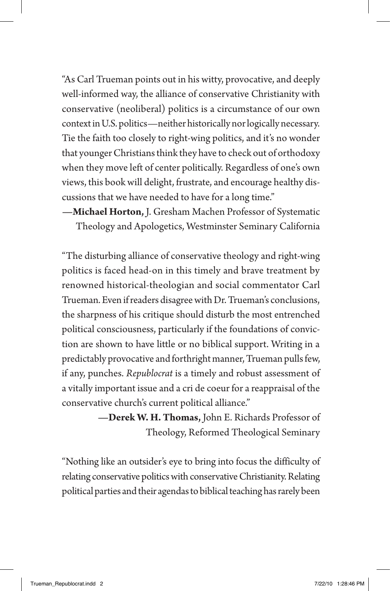"As Carl Trueman points out in his witty, provocative, and deeply well-informed way, the alliance of conservative Christianity with conservative (neoliberal) politics is a circumstance of our own context in U.S. politics—neither historically nor logically necessary. Tie the faith too closely to right-wing politics, and it's no wonder that younger Christians think they have to check out of orthodoxy when they move left of center politically. Regardless of one's own views, this book will delight, frustrate, and encourage healthy discussions that we have needed to have for a long time."

**—Michael Horton,** J. Gresham Machen Professor of Systematic Theology and Apologetics, Westminster Seminary California

"The disturbing alliance of conservative theology and right-wing politics is faced head-on in this timely and brave treatment by renowned historical-theologian and social commentator Carl Trueman. Even if readers disagree with Dr. Trueman's conclusions, the sharpness of his critique should disturb the most entrenched political consciousness, particularly if the foundations of conviction are shown to have little or no biblical support. Writing in a predictably provocative and forthright manner, Trueman pulls few, if any, punches. *Republocrat* is a timely and robust assessment of a vitally important issue and a cri de coeur for a reappraisal of the conservative church's current political alliance."

> **—Derek W. H. Thomas,** John E. Richards Professor of Theology, Reformed Theological Seminary

"Nothing like an outsider's eye to bring into focus the difficulty of relating conservative politics with conservative Christianity. Relating political parties and their agendas to biblical teaching has rarely been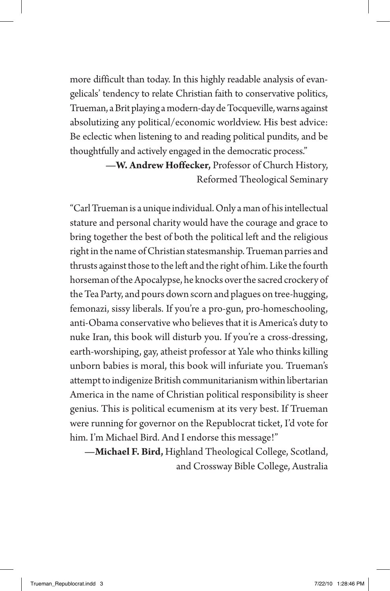more difficult than today. In this highly readable analysis of evangelicals' tendency to relate Christian faith to conservative politics, Trueman, a Brit playing a modern-day deTocqueville, warns against absolutizing any political/economic worldview. His best advice: Be eclectic when listening to and reading political pundits, and be thoughtfully and actively engaged in the democratic process."

> **—W. Andrew Hoffecker,** Professor of Church History, Reformed Theological Seminary

"Carl Trueman is a unique individual. Only a man of his intellectual stature and personal charity would have the courage and grace to bring together the best of both the political left and the religious right in the name of Christian statesmanship. Trueman parries and thrusts against those to the left and the right of him. Like the fourth horseman of the Apocalypse, he knocks over the sacred crockery of the Tea Party, and pours down scorn and plagues on tree-hugging, femonazi, sissy liberals. If you're a pro-gun, pro-homeschooling, anti-Obama conservative who believes that it is America's duty to nuke Iran, this book will disturb you. If you're a cross-dressing, earth-worshiping, gay, atheist professor at Yale who thinks killing unborn babies is moral, this book will infuriate you. Trueman's attempt to indigenize British communitarianism within libertarian America in the name of Christian political responsibility is sheer genius. This is political ecumenism at its very best. If Trueman were running for governor on the Republocrat ticket, I'd vote for him. I'm Michael Bird. And I endorse this message!"

**—Michael F. Bird,** Highland Theological College, Scotland, and Crossway Bible College, Australia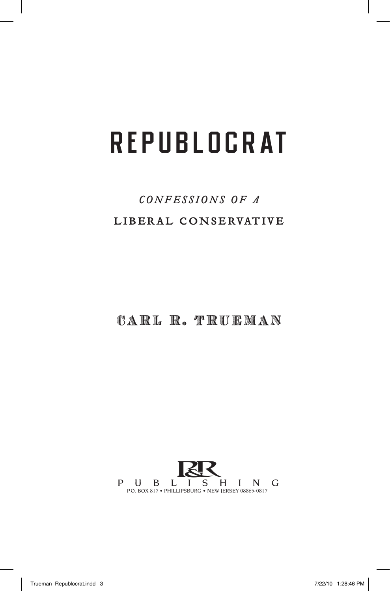# **REPUBLOCRAT**

## $CONFESSIONS$  *OF A* LIBERAL CONSERVATIVE

### CARL R. TRUEMAN

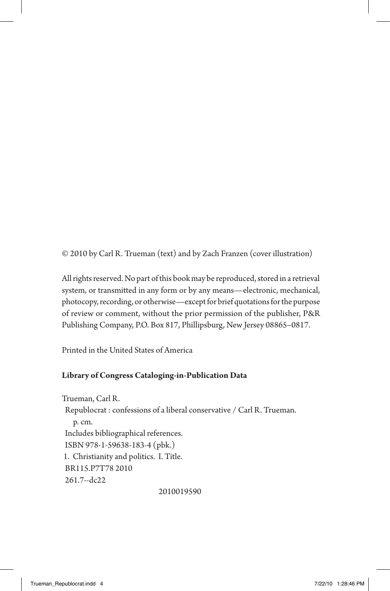© 2010 by Carl R. Trueman (text) and by Zach Franzen (cover illustration)

All rights reserved. No part of this book may be reproduced, stored in a retrieval system, or transmitted in any form or by any means—electronic, mechanical, photocopy, recording, or otherwise—except for brief quotations for the purpose of review or comment, without the prior permission of the publisher, P&R Publishing Company, P.O. Box 817, Phillipsburg, New Jersey 08865–0817.

Printed in the United States of America

#### **Library of Congress Cataloging-in-Publication Data**

Trueman, Carl R. Republocrat : confessions of a liberal conservative / Carl R. Trueman. p. cm. Includes bibliographical references. ISBN 978-1-59638-183-4 (pbk.) 1. Christianity and politics. I. Title. BR115.P7T78 2010 261.7--dc22

2010019590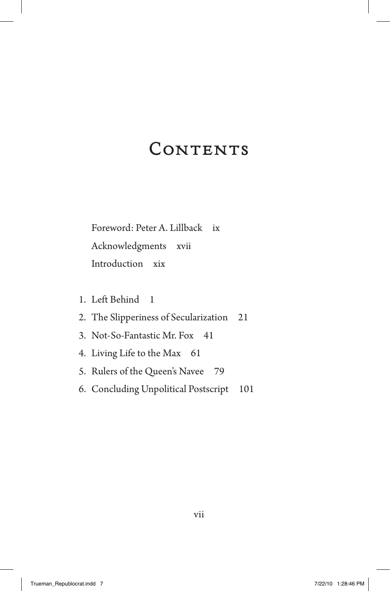## CONTENTS

 Foreword: Peter A. Lillback ix Acknowledgments xvii Introduction xix

- 1. Left Behind 1
- 2. The Slipperiness of Secularization 21
- 3. Not-So-Fantastic Mr. Fox 41
- 4. Living Life to the Max 61
- 5. Rulers of the Queen's Navee 79
- 6. Concluding Unpolitical Postscript 101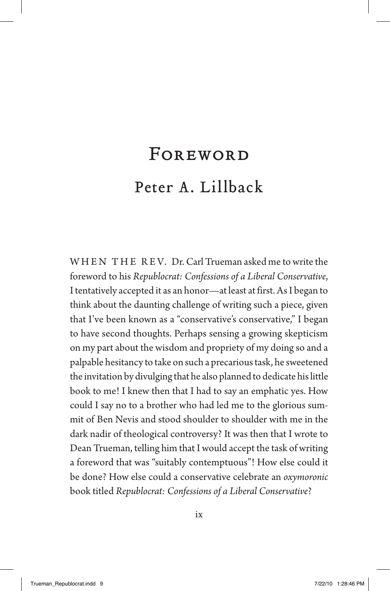## FOREWORD Peter A. Lillback

WHEN THE REV. Dr. Carl Trueman asked me to write the foreword to his *Republocrat: Confessions of a Liberal Conservative*, I tentatively accepted it as an honor—at least at first. As I began to think about the daunting challenge of writing such a piece, given that I've been known as a "conservative's conservative," I began to have second thoughts. Perhaps sensing a growing skepticism on my part about the wisdom and propriety of my doing so and a palpable hesitancy to take on such a precarious task, he sweetened the invitation by divulging that he also planned to dedicate his little book to me! I knew then that I had to say an emphatic yes. How could I say no to a brother who had led me to the glorious summit of Ben Nevis and stood shoulder to shoulder with me in the dark nadir of theological controversy? It was then that I wrote to Dean Trueman, telling him that I would accept the task of writing a foreword that was "suitably contemptuous"! How else could it be done? How else could a conservative celebrate an *oxymoronic* book titled *Republocrat: Confessions of a Liberal Conservative*?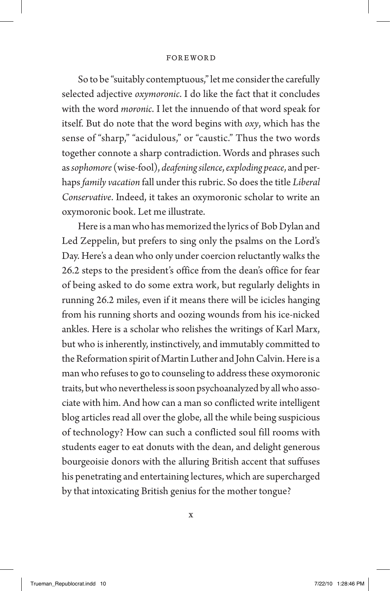So to be "suitably contemptuous," let me consider the carefully selected adjective *oxymoronic*. I do like the fact that it concludes with the word *moronic*. I let the innuendo of that word speak for itself. But do note that the word begins with *oxy*, which has the sense of "sharp," "acidulous," or "caustic." Thus the two words together connote a sharp contradiction. Words and phrases such as *sophomore* (wise-fool), *deafening silence*, *exploding peace*, and perhaps *family vacation* fall under this rubric. So does the title *Liberal Conservative*. Indeed, it takes an oxymoronic scholar to write an oxymoronic book. Let me illustrate.

Here is a man who has memorized the lyrics of Bob Dylan and Led Zeppelin, but prefers to sing only the psalms on the Lord's Day. Here's a dean who only under coercion reluctantly walks the 26.2 steps to the president's office from the dean's office for fear of being asked to do some extra work, but regularly delights in running 26.2 miles, even if it means there will be icicles hanging from his running shorts and oozing wounds from his ice-nicked ankles. Here is a scholar who relishes the writings of Karl Marx, but who is inherently, instinctively, and immutably committed to the Reformation spirit of Martin Luther and John Calvin. Here is a man who refuses to go to counseling to address these oxymoronic traits, but who nevertheless is soon psychoanalyzed by all who associate with him. And how can a man so conflicted write intelligent blog articles read all over the globe, all the while being suspicious of technology? How can such a conflicted soul fill rooms with students eager to eat donuts with the dean, and delight generous bourgeoisie donors with the alluring British accent that suffuses his penetrating and entertaining lectures, which are supercharged by that intoxicating British genius for the mother tongue?

x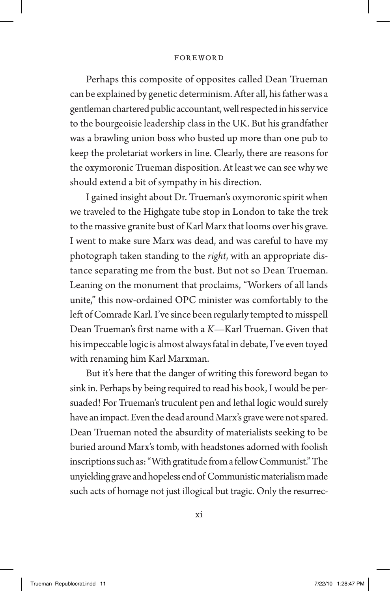Perhaps this composite of opposites called Dean Trueman can be explained by genetic determinism. After all, his father was a gentleman chartered public accountant, well respected in his service to the bourgeoisie leadership class in the UK. But his grandfather was a brawling union boss who busted up more than one pub to keep the proletariat workers in line. Clearly, there are reasons for the oxymoronic Trueman disposition. At least we can see why we should extend a bit of sympathy in his direction.

I gained insight about Dr. Trueman's oxymoronic spirit when we traveled to the Highgate tube stop in London to take the trek to the massive granite bust of Karl Marx that looms over his grave. I went to make sure Marx was dead, and was careful to have my photograph taken standing to the *right*, with an appropriate distance separating me from the bust. But not so Dean Trueman. Leaning on the monument that proclaims, "Workers of all lands unite," this now-ordained OPC minister was comfortably to the left of Comrade Karl. I've since been regularly tempted to misspell Dean Trueman's first name with a *K*—Karl Trueman. Given that his impeccable logic is almost always fatal in debate, I've even toyed with renaming him Karl Marxman.

But it's here that the danger of writing this foreword began to sink in. Perhaps by being required to read his book, I would be persuaded! For Trueman's truculent pen and lethal logic would surely have an impact. Even the dead around Marx's grave were not spared. Dean Trueman noted the absurdity of materialists seeking to be buried around Marx's tomb, with headstones adorned with foolish inscriptions such as: "With gratitude from a fellow Communist." The unyielding grave and hopeless end of Communistic materialism made such acts of homage not just illogical but tragic. Only the resurrec-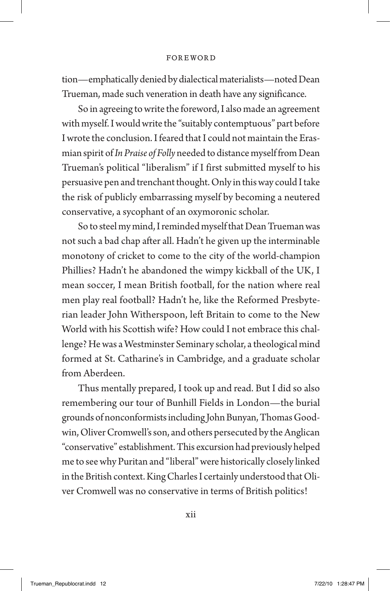tion—emphatically denied by dialectical materialists—noted Dean Trueman, made such veneration in death have any significance.

So in agreeing to write the foreword, I also made an agreement with myself. I would write the "suitably contemptuous" part before I wrote the conclusion. I feared that I could not maintain the Erasmian spirit of *In Praise of Folly* needed to distance myself from Dean Trueman's political "liberalism" if I first submitted myself to his persuasive pen and trenchant thought. Only in this way could I take the risk of publicly embarrassing myself by becoming a neutered conservative, a sycophant of an oxymoronic scholar.

So to steel my mind, I reminded myself that Dean Trueman was not such a bad chap after all. Hadn't he given up the interminable monotony of cricket to come to the city of the world-champion Phillies? Hadn't he abandoned the wimpy kickball of the UK, I mean soccer, I mean British football, for the nation where real men play real football? Hadn't he, like the Reformed Presbyterian leader John Witherspoon, left Britain to come to the New World with his Scottish wife? How could I not embrace this challenge? He was a Westminster Seminary scholar, a theological mind formed at St. Catharine's in Cambridge, and a graduate scholar from Aberdeen.

Thus mentally prepared, I took up and read. But I did so also remembering our tour of Bunhill Fields in London—the burial grounds of nonconformists including John Bunyan, Thomas Goodwin, Oliver Cromwell's son, and others persecuted by the Anglican "conservative" establishment. This excursion had previously helped me to see why Puritan and "liberal" were historically closely linked in the British context. King Charles I certainly understood that Oliver Cromwell was no conservative in terms of British politics!

xii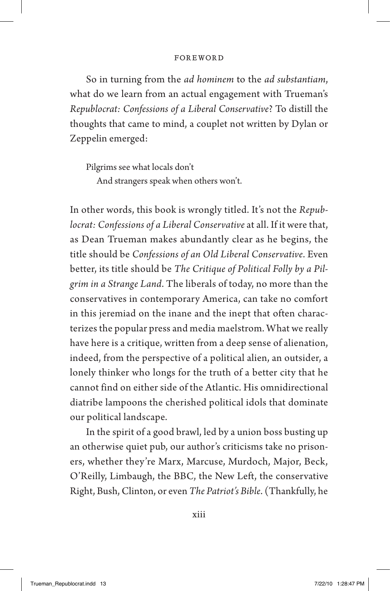So in turning from the *ad hominem* to the *ad substantiam*, what do we learn from an actual engagement with Trueman's *Republocrat: Confessions of a Liberal Conservative*? To distill the thoughts that came to mind, a couplet not written by Dylan or Zeppelin emerged:

Pilgrims see what locals don't And strangers speak when others won't.

In other words, this book is wrongly titled. It's not the *Republocrat: Confessions of a Liberal Conservative* at all. If it were that, as Dean Trueman makes abundantly clear as he begins, the title should be *Confessions of an Old Liberal Conservative*. Even better, its title should be *The Critique of Political Folly by a Pilgrim in a Strange Land*. The liberals of today, no more than the conservatives in contemporary America, can take no comfort in this jeremiad on the inane and the inept that often characterizes the popular press and media maelstrom. What we really have here is a critique, written from a deep sense of alienation, indeed, from the perspective of a political alien, an outsider, a lonely thinker who longs for the truth of a better city that he cannot find on either side of the Atlantic. His omnidirectional diatribe lampoons the cherished political idols that dominate our political landscape.

In the spirit of a good brawl, led by a union boss busting up an otherwise quiet pub, our author's criticisms take no prisoners, whether they're Marx, Marcuse, Murdoch, Major, Beck, O'Reilly, Limbaugh, the BBC, the New Left, the conservative Right, Bush, Clinton, or even *The Patriot's Bible*. (Thankfully, he

xiii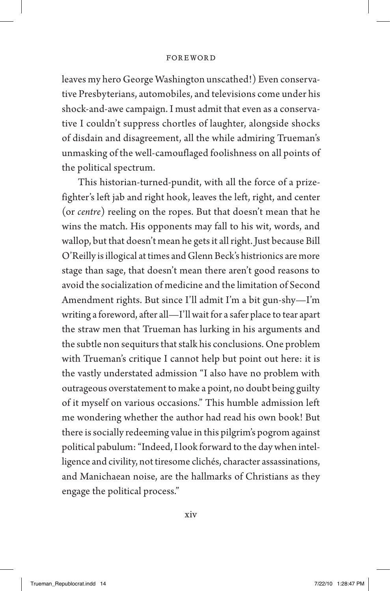leaves my hero George Washington unscathed!) Even conservative Presbyterians, automobiles, and televisions come under his shock-and-awe campaign. I must admit that even as a conservative I couldn't suppress chortles of laughter, alongside shocks of disdain and disagreement, all the while admiring Trueman's unmasking of the well-camouflaged foolishness on all points of the political spectrum.

This historian-turned-pundit, with all the force of a prizefighter's left jab and right hook, leaves the left, right, and center (or *centre*) reeling on the ropes. But that doesn't mean that he wins the match. His opponents may fall to his wit, words, and wallop, but that doesn't mean he gets it all right. Just because Bill O'Reilly is illogical at times and Glenn Beck's histrionics are more stage than sage, that doesn't mean there aren't good reasons to avoid the socialization of medicine and the limitation of Second Amendment rights. But since I'll admit I'm a bit gun-shy—I'm writing a foreword, after all—I'll wait for a safer place to tear apart the straw men that Trueman has lurking in his arguments and the subtle non sequiturs that stalk his conclusions. One problem with Trueman's critique I cannot help but point out here: it is the vastly understated admission "I also have no problem with outrageous overstatement to make a point, no doubt being guilty of it myself on various occasions." This humble admission left me wondering whether the author had read his own book! But there is socially redeeming value in this pilgrim's pogrom against political pabulum: "Indeed, I look forward to the day when intelligence and civility, not tiresome clichés, character assassinations, and Manichaean noise, are the hallmarks of Christians as they engage the political process."

xiv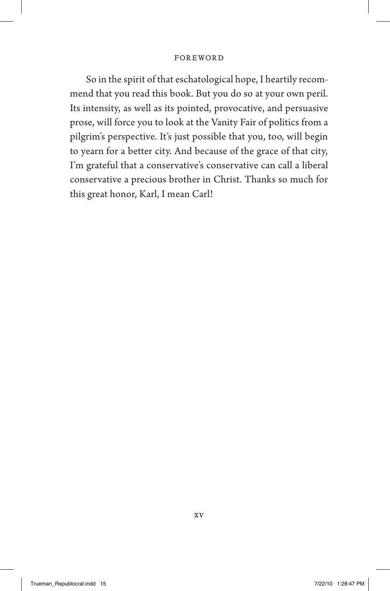So in the spirit of that eschatological hope, I heartily recommend that you read this book. But you do so at your own peril. Its intensity, as well as its pointed, provocative, and persuasive prose, will force you to look at the Vanity Fair of politics from a pilgrim's perspective. It's just possible that you, too, will begin to yearn for a better city. And because of the grace of that city, I'm grateful that a conservative's conservative can call a liberal conservative a precious brother in Christ. Thanks so much for this great honor, Karl, I mean Carl!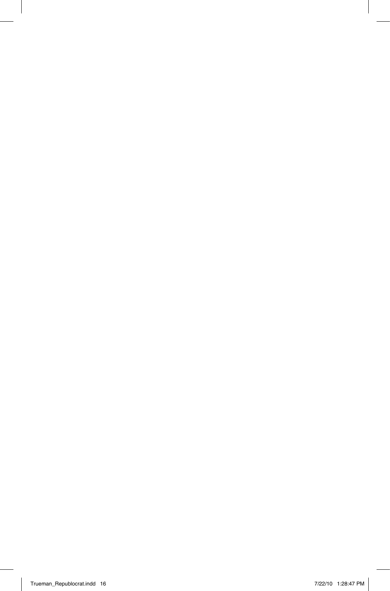I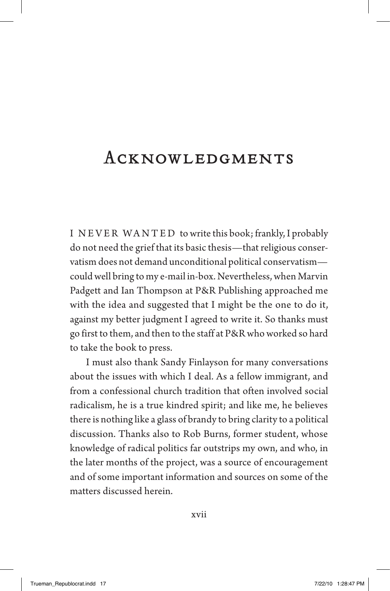## ACKNOWLEDGMENTS

I NEVER WANTED to write this book; frankly, I probably do not need the grief that its basic thesis—that religious conservatism does not demand unconditional political conservatism could well bring to my e-mail in-box. Nevertheless, when Marvin Padgett and Ian Thompson at P&R Publishing approached me with the idea and suggested that I might be the one to do it, against my better judgment I agreed to write it. So thanks must go first to them, and then to the staff at P&R who worked so hard to take the book to press.

I must also thank Sandy Finlayson for many conversations about the issues with which I deal. As a fellow immigrant, and from a confessional church tradition that often involved social radicalism, he is a true kindred spirit; and like me, he believes there is nothing like a glass of brandy to bring clarity to a political discussion. Thanks also to Rob Burns, former student, whose knowledge of radical politics far outstrips my own, and who, in the later months of the project, was a source of encouragement and of some important information and sources on some of the matters discussed herein.

xvii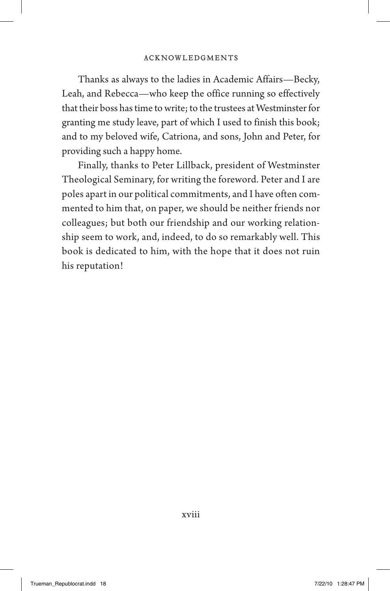Thanks as always to the ladies in Academic Affairs—Becky, Leah, and Rebecca—who keep the office running so effectively that their boss has time to write; to the trustees at Westminster for granting me study leave, part of which I used to finish this book; and to my beloved wife, Catriona, and sons, John and Peter, for providing such a happy home.

Finally, thanks to Peter Lillback, president of Westminster Theological Seminary, for writing the foreword. Peter and I are poles apart in our political commitments, and I have often commented to him that, on paper, we should be neither friends nor colleagues; but both our friendship and our working relationship seem to work, and, indeed, to do so remarkably well. This book is dedicated to him, with the hope that it does not ruin his reputation!

xviii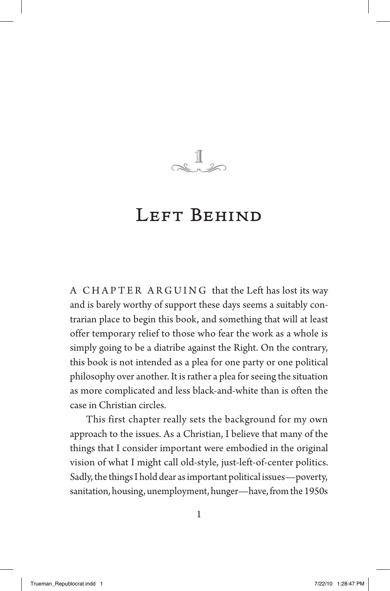

A CHAPTER ARGUING that the Left has lost its way and is barely worthy of support these days seems a suitably contrarian place to begin this book, and something that will at least offer temporary relief to those who fear the work as a whole is simply going to be a diatribe against the Right. On the contrary, this book is not intended as a plea for one party or one political philosophy over another. It is rather a plea for seeing the situation as more complicated and less black-and-white than is often the case in Christian circles.

This first chapter really sets the background for my own approach to the issues. As a Christian, I believe that many of the things that I consider important were embodied in the original vision of what I might call old-style, just-left-of-center politics. Sadly, the things I hold dear as important political issues—poverty, sanitation, housing, unemployment, hunger—have, from the 1950s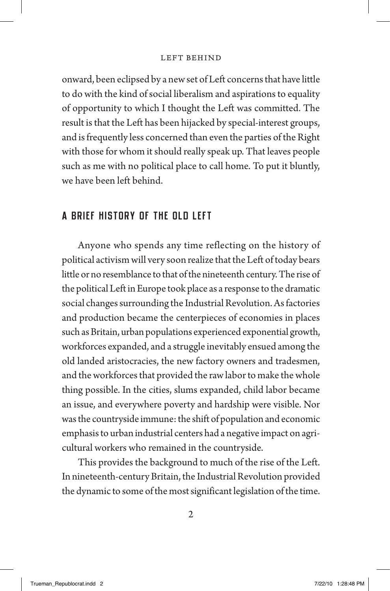onward, been eclipsed by a new set of Left concerns that have little to do with the kind of social liberalism and aspirations to equality of opportunity to which I thought the Left was committed. The result is that the Left has been hijacked by special-interest groups, and is frequently less concerned than even the parties of the Right with those for whom it should really speak up. That leaves people such as me with no political place to call home. To put it bluntly, we have been left behind.

#### A BRIEF HISTORY OF THE OLD LEFT

Anyone who spends any time reflecting on the history of political activism will very soon realize that the Left of today bears little or no resemblance to that of the nineteenth century. The rise of the political Left in Europe took place as a response to the dramatic social changes surrounding the Industrial Revolution. As factories and production became the centerpieces of economies in places such as Britain, urban populations experienced exponential growth, workforces expanded, and a struggle inevitably ensued among the old landed aristocracies, the new factory owners and tradesmen, and the workforces that provided the raw labor to make the whole thing possible. In the cities, slums expanded, child labor became an issue, and everywhere poverty and hardship were visible. Nor was the countryside immune: the shift of population and economic emphasis to urban industrial centers had a negative impact on agricultural workers who remained in the countryside.

This provides the background to much of the rise of the Left. In nineteenth-century Britain, the Industrial Revolution provided the dynamic to some of the most significant legislation of the time.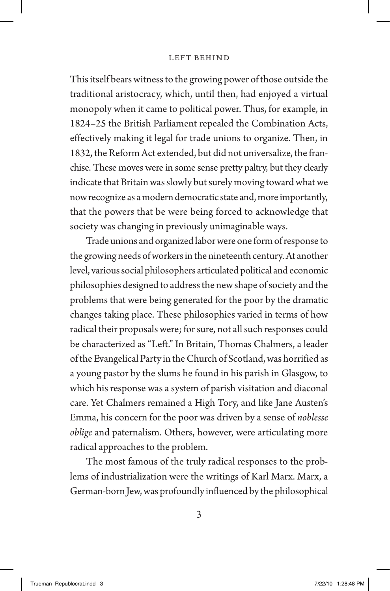This itself bears witness to the growing power of those outside the traditional aristocracy, which, until then, had enjoyed a virtual monopoly when it came to political power. Thus, for example, in 1824–25 the British Parliament repealed the Combination Acts, effectively making it legal for trade unions to organize. Then, in 1832, the Reform Act extended, but did not universalize, the franchise. These moves were in some sense pretty paltry, but they clearly indicate that Britain was slowly but surely moving toward what we now recognize as a modern democratic state and, more importantly, that the powers that be were being forced to acknowledge that society was changing in previously unimaginable ways.

Trade unions and organized labor were one form of response to the growing needs of workers in the nineteenth century. At another level, various social philosophers articulated political and economic philosophies designed to address the new shape of society and the problems that were being generated for the poor by the dramatic changes taking place. These philosophies varied in terms of how radical their proposals were; for sure, not all such responses could be characterized as "Left." In Britain, Thomas Chalmers, a leader of the Evangelical Party in the Church of Scotland, was horrified as a young pastor by the slums he found in his parish in Glasgow, to which his response was a system of parish visitation and diaconal care. Yet Chalmers remained a High Tory, and like Jane Austen's Emma, his concern for the poor was driven by a sense of *noblesse oblige* and paternalism. Others, however, were articulating more radical approaches to the problem.

The most famous of the truly radical responses to the problems of industrialization were the writings of Karl Marx. Marx, a German-born Jew, was profoundly influenced by the philosophical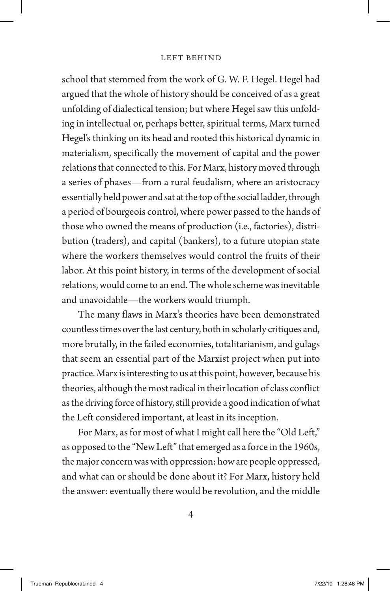school that stemmed from the work of G. W. F. Hegel. Hegel had argued that the whole of history should be conceived of as a great unfolding of dialectical tension; but where Hegel saw this unfolding in intellectual or, perhaps better, spiritual terms, Marx turned Hegel's thinking on its head and rooted this historical dynamic in materialism, specifically the movement of capital and the power relations that connected to this. For Marx, history moved through a series of phases—from a rural feudalism, where an aristocracy essentially held power and sat at the top of the social ladder, through a period of bourgeois control, where power passed to the hands of those who owned the means of production (i.e., factories), distribution (traders), and capital (bankers), to a future utopian state where the workers themselves would control the fruits of their labor. At this point history, in terms of the development of social relations, would come to an end. The whole scheme was inevitable and unavoidable—the workers would triumph.

The many flaws in Marx's theories have been demonstrated countless times over the last century, both in scholarly critiques and, more brutally, in the failed economies, totalitarianism, and gulags that seem an essential part of the Marxist project when put into practice. Marx is interesting to us at this point, however, because his theories, although the most radical in their location of class conflict as the driving force of history, still provide a good indication of what the Left considered important, at least in its inception.

For Marx, as for most of what I might call here the "Old Left," as opposed to the "New Left" that emerged as a force in the 1960s, the major concern was with oppression: how are people oppressed, and what can or should be done about it? For Marx, history held the answer: eventually there would be revolution, and the middle

4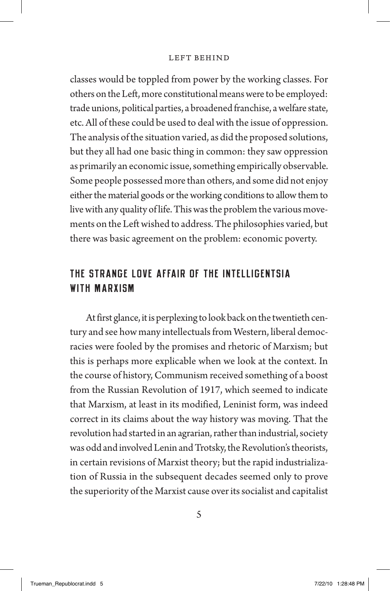classes would be toppled from power by the working classes. For others on the Left, more constitutional means were to be employed: trade unions, political parties, a broadened franchise, a welfare state, etc. All of these could be used to deal with the issue of oppression. The analysis of the situation varied, as did the proposed solutions, but they all had one basic thing in common: they saw oppression as primarily an economic issue, something empirically observable. Some people possessed more than others, and some did not enjoy either the material goods or the working conditions to allow them to live with any quality of life. This was the problem the various movements on the Left wished to address. The philosophies varied, but there was basic agreement on the problem: economic poverty.

#### THE STRANGE LOVE AFFAIR OF THE INTELLIGENTSIA WITH MARXISM

At first glance, it is perplexing to look back on the twentieth century and see how many intellectuals from Western, liberal democracies were fooled by the promises and rhetoric of Marxism; but this is perhaps more explicable when we look at the context. In the course of history, Communism received something of a boost from the Russian Revolution of 1917, which seemed to indicate that Marxism, at least in its modified, Leninist form, was indeed correct in its claims about the way history was moving. That the revolution had started in an agrarian, rather than industrial, society was odd and involved Lenin and Trotsky, the Revolution's theorists, in certain revisions of Marxist theory; but the rapid industrialization of Russia in the subsequent decades seemed only to prove the superiority of the Marxist cause over its socialist and capitalist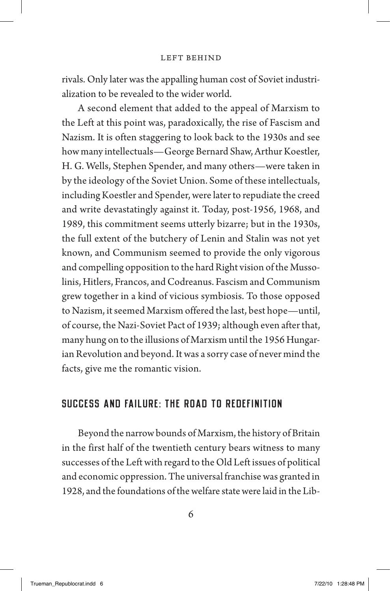rivals. Only later was the appalling human cost of Soviet industrialization to be revealed to the wider world.

A second element that added to the appeal of Marxism to the Left at this point was, paradoxically, the rise of Fascism and Nazism. It is often staggering to look back to the 1930s and see how many intellectuals—George Bernard Shaw, Arthur Koestler, H. G. Wells, Stephen Spender, and many others—were taken in by the ideology of the Soviet Union. Some of these intellectuals, including Koestler and Spender, were later to repudiate the creed and write devastatingly against it. Today, post-1956, 1968, and 1989, this commitment seems utterly bizarre; but in the 1930s, the full extent of the butchery of Lenin and Stalin was not yet known, and Communism seemed to provide the only vigorous and compelling opposition to the hard Right vision of the Mussolinis, Hitlers, Francos, and Codreanus. Fascism and Communism grew together in a kind of vicious symbiosis. To those opposed to Nazism, it seemed Marxism offered the last, best hope—until, of course, the Nazi-Soviet Pact of 1939; although even after that, many hung on to the illusions of Marxism until the 1956 Hungarian Revolution and beyond. It was a sorry case of never mind the facts, give me the romantic vision.

#### SUCCESS AND FAILURE: THE ROAD TO REDEFINITION

Beyond the narrow bounds of Marxism, the history of Britain in the first half of the twentieth century bears witness to many successes of the Left with regard to the Old Left issues of political and economic oppression. The universal franchise was granted in 1928, and the foundations of the welfare state were laid in the Lib-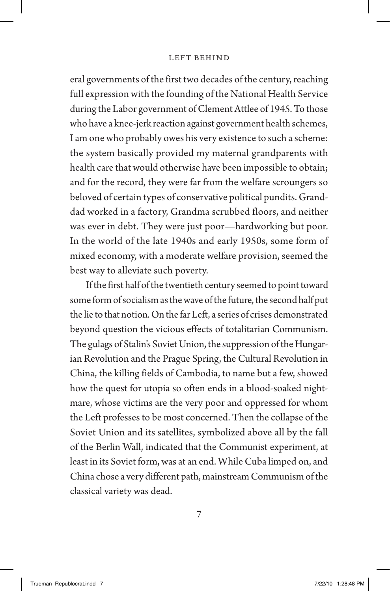eral governments of the first two decades of the century, reaching full expression with the founding of the National Health Service during the Labor government of Clement Attlee of 1945. To those who have a knee-jerk reaction against government health schemes, I am one who probably owes his very existence to such a scheme: the system basically provided my maternal grandparents with health care that would otherwise have been impossible to obtain; and for the record, they were far from the welfare scroungers so beloved of certain types of conservative political pundits. Granddad worked in a factory, Grandma scrubbed floors, and neither was ever in debt. They were just poor—hardworking but poor. In the world of the late 1940s and early 1950s, some form of mixed economy, with a moderate welfare provision, seemed the best way to alleviate such poverty.

If the first half of the twentieth century seemed to point toward some form of socialism as the wave of the future, the second half put the lie to that notion. On the far Left, a series of crises demonstrated beyond question the vicious effects of totalitarian Communism. The gulags of Stalin's Soviet Union, the suppression of the Hungarian Revolution and the Prague Spring, the Cultural Revolution in China, the killing fields of Cambodia, to name but a few, showed how the quest for utopia so often ends in a blood-soaked nightmare, whose victims are the very poor and oppressed for whom the Left professes to be most concerned. Then the collapse of the Soviet Union and its satellites, symbolized above all by the fall of the Berlin Wall, indicated that the Communist experiment, at least in its Soviet form, was at an end. While Cuba limped on, and China chose a very different path, mainstream Communism of the classical variety was dead.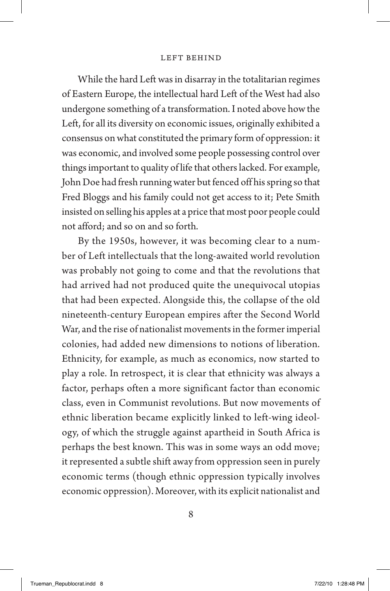While the hard Left was in disarray in the totalitarian regimes of Eastern Europe, the intellectual hard Left of the West had also undergone something of a transformation. I noted above how the Left, for all its diversity on economic issues, originally exhibited a consensus on what constituted the primary form of oppression: it was economic, and involved some people possessing control over things important to quality of life that others lacked. For example, John Doe had fresh running water but fenced off his spring so that Fred Bloggs and his family could not get access to it; Pete Smith insisted on selling his apples at a price that most poor people could not afford; and so on and so forth.

By the 1950s, however, it was becoming clear to a number of Left intellectuals that the long-awaited world revolution was probably not going to come and that the revolutions that had arrived had not produced quite the unequivocal utopias that had been expected. Alongside this, the collapse of the old nineteenth-century European empires after the Second World War, and the rise of nationalist movements in the former imperial colonies, had added new dimensions to notions of liberation. Ethnicity, for example, as much as economics, now started to play a role. In retrospect, it is clear that ethnicity was always a factor, perhaps often a more significant factor than economic class, even in Communist revolutions. But now movements of ethnic liberation became explicitly linked to left-wing ideology, of which the struggle against apartheid in South Africa is perhaps the best known. This was in some ways an odd move; it represented a subtle shift away from oppression seen in purely economic terms (though ethnic oppression typically involves economic oppression). Moreover, with its explicit nationalist and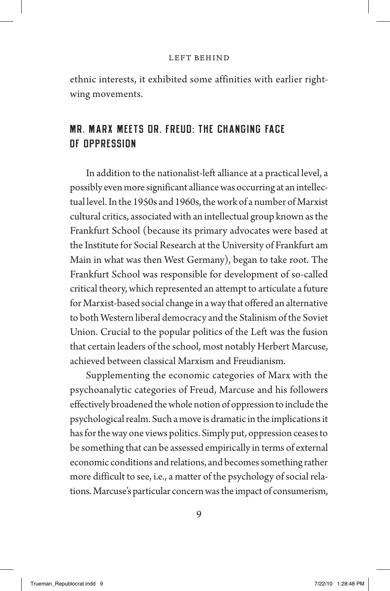ethnic interests, it exhibited some affinities with earlier rightwing movements.

#### MR. MARX MEETS DR. FREUD: THE CHANGING FACE OF OPPRESSION

In addition to the nationalist-left alliance at a practical level, a possibly even more significant alliance was occurring at an intellectual level. In the 1950s and 1960s, the work of a number of Marxist cultural critics, associated with an intellectual group known as the Frankfurt School (because its primary advocates were based at the Institute for Social Research at the University of Frankfurt am Main in what was then West Germany), began to take root. The Frankfurt School was responsible for development of so-called critical theory, which represented an attempt to articulate a future for Marxist-based social change in a way that offered an alternative to both Western liberal democracy and the Stalinism of the Soviet Union. Crucial to the popular politics of the Left was the fusion that certain leaders of the school, most notably Herbert Marcuse, achieved between classical Marxism and Freudianism.

Supplementing the economic categories of Marx with the psychoanalytic categories of Freud, Marcuse and his followers effectively broadened the whole notion of oppression to include the psychological realm. Such a move is dramatic in the implications it has for the way one views politics. Simply put, oppression ceases to be something that can be assessed empirically in terms of external economic conditions and relations, and becomes something rather more difficult to see, i.e., a matter of the psychology of social relations. Marcuse's particular concern was the impact of consumerism,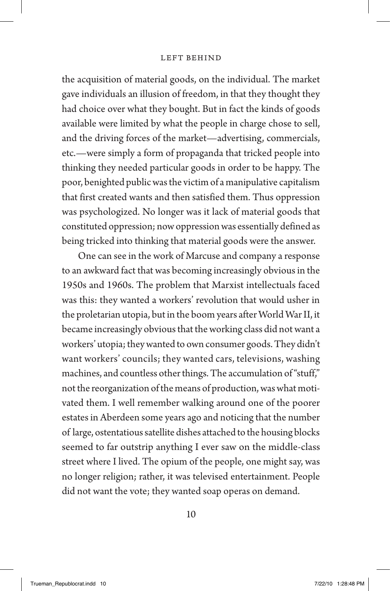the acquisition of material goods, on the individual. The market gave individuals an illusion of freedom, in that they thought they had choice over what they bought. But in fact the kinds of goods available were limited by what the people in charge chose to sell, and the driving forces of the market—advertising, commercials, etc.—were simply a form of propaganda that tricked people into thinking they needed particular goods in order to be happy. The poor, benighted public was the victim of a manipulative capitalism that first created wants and then satisfied them. Thus oppression was psychologized. No longer was it lack of material goods that constituted oppression; now oppression was essentially defined as being tricked into thinking that material goods were the answer.

One can see in the work of Marcuse and company a response to an awkward fact that was becoming increasingly obvious in the 1950s and 1960s. The problem that Marxist intellectuals faced was this: they wanted a workers' revolution that would usher in the proletarian utopia, but in the boom years after World War II, it became increasingly obvious that the working class did not want a workers' utopia; they wanted to own consumer goods. They didn't want workers' councils; they wanted cars, televisions, washing machines, and countless other things. The accumulation of "stuff," not the reorganization of the means of production, was what motivated them. I well remember walking around one of the poorer estates in Aberdeen some years ago and noticing that the number of large, ostentatious satellite dishes attached to the housing blocks seemed to far outstrip anything I ever saw on the middle-class street where I lived. The opium of the people, one might say, was no longer religion; rather, it was televised entertainment. People did not want the vote; they wanted soap operas on demand.

10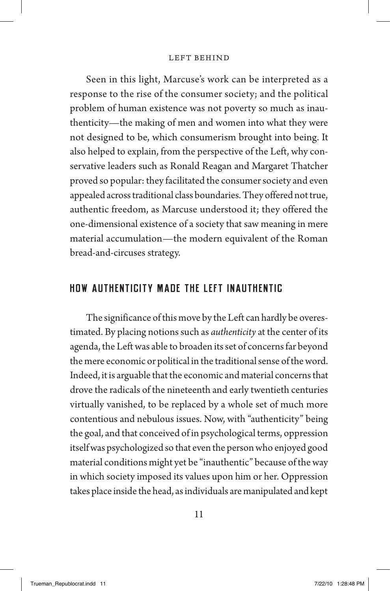Seen in this light, Marcuse's work can be interpreted as a response to the rise of the consumer society; and the political problem of human existence was not poverty so much as inauthenticity—the making of men and women into what they were not designed to be, which consumerism brought into being. It also helped to explain, from the perspective of the Left, why conservative leaders such as Ronald Reagan and Margaret Thatcher proved so popular: they facilitated the consumer society and even appealed across traditional class boundaries. They offered not true, authentic freedom, as Marcuse understood it; they offered the one-dimensional existence of a society that saw meaning in mere material accumulation—the modern equivalent of the Roman bread-and-circuses strategy.

#### HOW AUTHENTICITY MADE THE LEFT INAUTHENTIC

The significance of this move by the Left can hardly be overestimated. By placing notions such as *authenticity* at the center of its agenda, the Left was able to broaden its set of concerns far beyond the mere economic or political in the traditional sense of the word. Indeed, it is arguable that the economic and material concerns that drove the radicals of the nineteenth and early twentieth centuries virtually vanished, to be replaced by a whole set of much more contentious and nebulous issues. Now, with "authenticity" being the goal, and that conceived of in psychological terms, oppression itself was psychologized so that even the person who enjoyed good material conditions might yet be "inauthentic" because of the way in which society imposed its values upon him or her. Oppression takes place inside the head, as individuals are manipulated and kept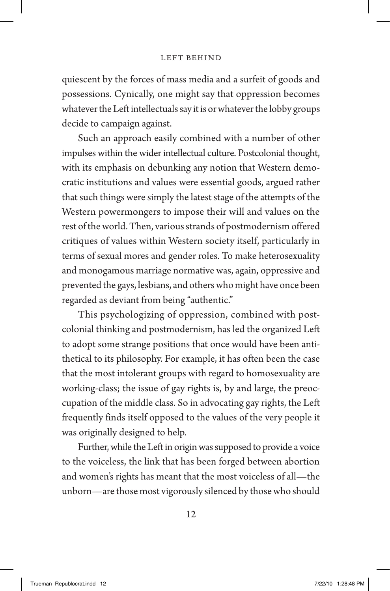quiescent by the forces of mass media and a surfeit of goods and possessions. Cynically, one might say that oppression becomes whatever the Left intellectuals say it is or whatever the lobby groups decide to campaign against.

Such an approach easily combined with a number of other impulses within the wider intellectual culture. Postcolonial thought, with its emphasis on debunking any notion that Western democratic institutions and values were essential goods, argued rather that such things were simply the latest stage of the attempts of the Western powermongers to impose their will and values on the rest of the world. Then, various strands of postmodernism offered critiques of values within Western society itself, particularly in terms of sexual mores and gender roles. To make heterosexuality and monogamous marriage normative was, again, oppressive and prevented the gays, lesbians, and others who might have once been regarded as deviant from being "authentic."

This psychologizing of oppression, combined with postcolonial thinking and postmodernism, has led the organized Left to adopt some strange positions that once would have been antithetical to its philosophy. For example, it has often been the case that the most intolerant groups with regard to homosexuality are working-class; the issue of gay rights is, by and large, the preoccupation of the middle class. So in advocating gay rights, the Left frequently finds itself opposed to the values of the very people it was originally designed to help.

Further, while the Left in origin was supposed to provide a voice to the voiceless, the link that has been forged between abortion and women's rights has meant that the most voiceless of all—the unborn—are those most vigorously silenced by those who should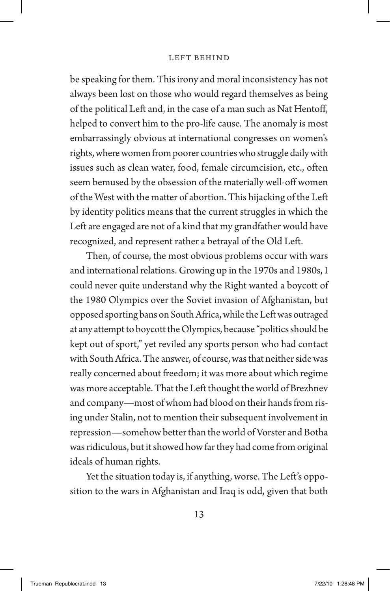be speaking for them. This irony and moral inconsistency has not always been lost on those who would regard themselves as being of the political Left and, in the case of a man such as Nat Hentoff, helped to convert him to the pro-life cause. The anomaly is most embarrassingly obvious at international congresses on women's rights, where women from poorer countries who struggle daily with issues such as clean water, food, female circumcision, etc., often seem bemused by the obsession of the materially well-off women of the West with the matter of abortion. This hijacking of the Left by identity politics means that the current struggles in which the Left are engaged are not of a kind that my grandfather would have recognized, and represent rather a betrayal of the Old Left.

Then, of course, the most obvious problems occur with wars and international relations. Growing up in the 1970s and 1980s, I could never quite understand why the Right wanted a boycott of the 1980 Olympics over the Soviet invasion of Afghanistan, but opposed sporting bans on South Africa, while the Left was outraged at any attempt to boycott the Olympics, because "politics should be kept out of sport," yet reviled any sports person who had contact with South Africa. The answer, of course, was that neither side was really concerned about freedom; it was more about which regime was more acceptable. That the Left thought the world of Brezhnev and company—most of whom had blood on their hands from rising under Stalin, not to mention their subsequent involvement in repression—somehow better than the world of Vorster and Botha was ridiculous, but it showed how far they had come from original ideals of human rights.

Yet the situation today is, if anything, worse. The Left's opposition to the wars in Afghanistan and Iraq is odd, given that both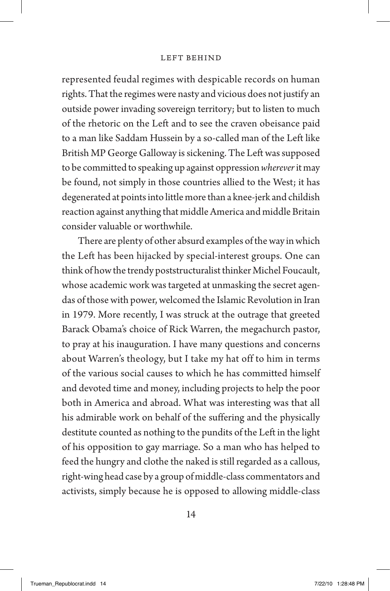represented feudal regimes with despicable records on human rights. That the regimes were nasty and vicious does not justify an outside power invading sovereign territory; but to listen to much of the rhetoric on the Left and to see the craven obeisance paid to a man like Saddam Hussein by a so-called man of the Left like British MP George Galloway is sickening. The Left was supposed to be committed to speaking up against oppression *wherever* it may be found, not simply in those countries allied to the West; it has degenerated at points into little more than a knee-jerk and childish reaction against anything that middle America and middle Britain consider valuable or worthwhile.

There are plenty of other absurd examples of the way in which the Left has been hijacked by special-interest groups. One can think of how the trendy poststructuralist thinker Michel Foucault, whose academic work was targeted at unmasking the secret agendas of those with power, welcomed the Islamic Revolution in Iran in 1979. More recently, I was struck at the outrage that greeted Barack Obama's choice of Rick Warren, the megachurch pastor, to pray at his inauguration. I have many questions and concerns about Warren's theology, but I take my hat off to him in terms of the various social causes to which he has committed himself and devoted time and money, including projects to help the poor both in America and abroad. What was interesting was that all his admirable work on behalf of the suffering and the physically destitute counted as nothing to the pundits of the Left in the light of his opposition to gay marriage. So a man who has helped to feed the hungry and clothe the naked is still regarded as a callous, right-wing head case by a group of middle-class commentators and activists, simply because he is opposed to allowing middle-class

14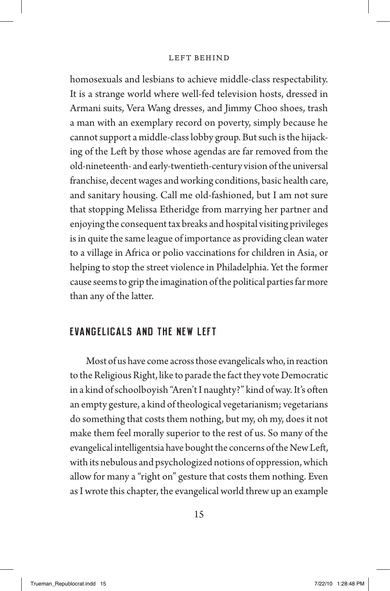homosexuals and lesbians to achieve middle-class respectability. It is a strange world where well-fed television hosts, dressed in Armani suits, Vera Wang dresses, and Jimmy Choo shoes, trash a man with an exemplary record on poverty, simply because he cannot support a middle-class lobby group. But such is the hijacking of the Left by those whose agendas are far removed from the old-nineteenth- and early-twentieth-century vision of the universal franchise, decent wages and working conditions, basic health care, and sanitary housing. Call me old-fashioned, but I am not sure that stopping Melissa Etheridge from marrying her partner and enjoying the consequent tax breaks and hospital visiting privileges is in quite the same league of importance as providing clean water to a village in Africa or polio vaccinations for children in Asia, or helping to stop the street violence in Philadelphia. Yet the former cause seems to grip the imagination of the political parties far more than any of the latter.

#### EVANGELICALS AND THE NEW LEFT

Most of us have come across those evangelicals who, in reaction to the Religious Right, like to parade the fact they vote Democratic in a kind of schoolboyish "Aren't I naughty?" kind of way. It's often an empty gesture, a kind of theological vegetarianism; vegetarians do something that costs them nothing, but my, oh my, does it not make them feel morally superior to the rest of us. So many of the evangelical intelligentsia have bought the concerns of the New Left, with its nebulous and psychologized notions of oppression, which allow for many a "right on" gesture that costs them nothing. Even as I wrote this chapter, the evangelical world threw up an example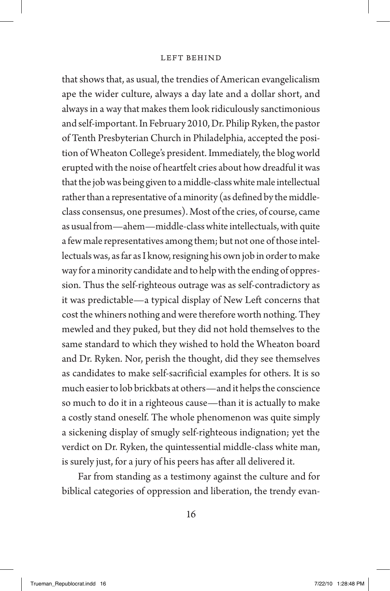that shows that, as usual, the trendies of American evangelicalism ape the wider culture, always a day late and a dollar short, and always in a way that makes them look ridiculously sanctimonious and self-important. In February 2010, Dr. Philip Ryken, the pastor of Tenth Presbyterian Church in Philadelphia, accepted the position of Wheaton College's president. Immediately, the blog world erupted with the noise of heartfelt cries about how dreadful it was that the job was being given to a middle-class white male intellectual rather than a representative of a minority (as defined by the middleclass consensus, one presumes). Most of the cries, of course, came as usual from—ahem—middle-class white intellectuals, with quite a few male representatives among them; but not one of those intellectuals was, as far as I know, resigning his own job in order to make way for a minority candidate and to help with the ending of oppression. Thus the self-righteous outrage was as self-contradictory as it was predictable—a typical display of New Left concerns that cost the whiners nothing and were therefore worth nothing. They mewled and they puked, but they did not hold themselves to the same standard to which they wished to hold the Wheaton board and Dr. Ryken. Nor, perish the thought, did they see themselves as candidates to make self-sacrificial examples for others. It is so much easier to lob brickbats at others—and it helps the conscience so much to do it in a righteous cause—than it is actually to make a costly stand oneself. The whole phenomenon was quite simply a sickening display of smugly self-righteous indignation; yet the verdict on Dr. Ryken, the quintessential middle-class white man, is surely just, for a jury of his peers has after all delivered it.

Far from standing as a testimony against the culture and for biblical categories of oppression and liberation, the trendy evan-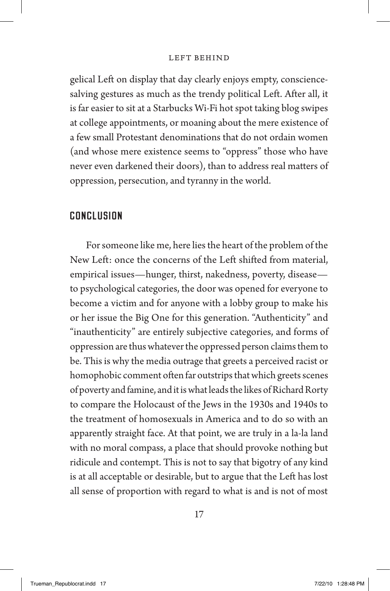gelical Left on display that day clearly enjoys empty, consciencesalving gestures as much as the trendy political Left. After all, it is far easier to sit at a Starbucks Wi-Fi hot spot taking blog swipes at college appointments, or moaning about the mere existence of a few small Protestant denominations that do not ordain women (and whose mere existence seems to "oppress" those who have never even darkened their doors), than to address real matters of oppression, persecution, and tyranny in the world.

#### CONCLUSION

For someone like me, here lies the heart of the problem of the New Left: once the concerns of the Left shifted from material, empirical issues—hunger, thirst, nakedness, poverty, disease to psychological categories, the door was opened for everyone to become a victim and for anyone with a lobby group to make his or her issue the Big One for this generation. "Authenticity" and "inauthenticity" are entirely subjective categories, and forms of oppression are thus whatever the oppressed person claims them to be. This is why the media outrage that greets a perceived racist or homophobic comment often far outstrips that which greets scenes of poverty and famine, and it is what leads the likes of Richard Rorty to compare the Holocaust of the Jews in the 1930s and 1940s to the treatment of homosexuals in America and to do so with an apparently straight face. At that point, we are truly in a la-la land with no moral compass, a place that should provoke nothing but ridicule and contempt. This is not to say that bigotry of any kind is at all acceptable or desirable, but to argue that the Left has lost all sense of proportion with regard to what is and is not of most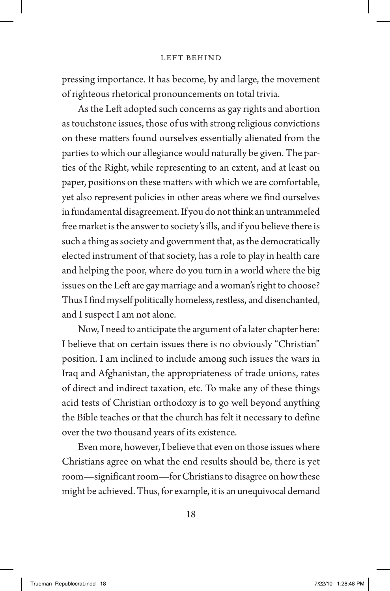pressing importance. It has become, by and large, the movement of righteous rhetorical pronouncements on total trivia.

As the Left adopted such concerns as gay rights and abortion as touchstone issues, those of us with strong religious convictions on these matters found ourselves essentially alienated from the parties to which our allegiance would naturally be given. The parties of the Right, while representing to an extent, and at least on paper, positions on these matters with which we are comfortable, yet also represent policies in other areas where we find ourselves in fundamental disagreement. If you do not think an untrammeled free market is the answer to society's ills, and if you believe there is such a thing as society and government that, as the democratically elected instrument of that society, has a role to play in health care and helping the poor, where do you turn in a world where the big issues on the Left are gay marriage and a woman's right to choose? Thus I find myself politically homeless, restless, and disenchanted, and I suspect I am not alone.

Now, I need to anticipate the argument of a later chapter here: I believe that on certain issues there is no obviously "Christian" position. I am inclined to include among such issues the wars in Iraq and Afghanistan, the appropriateness of trade unions, rates of direct and indirect taxation, etc. To make any of these things acid tests of Christian orthodoxy is to go well beyond anything the Bible teaches or that the church has felt it necessary to define over the two thousand years of its existence.

Even more, however, I believe that even on those issues where Christians agree on what the end results should be, there is yet room—significant room—for Christians to disagree on how these might be achieved. Thus, for example, it is an unequivocal demand